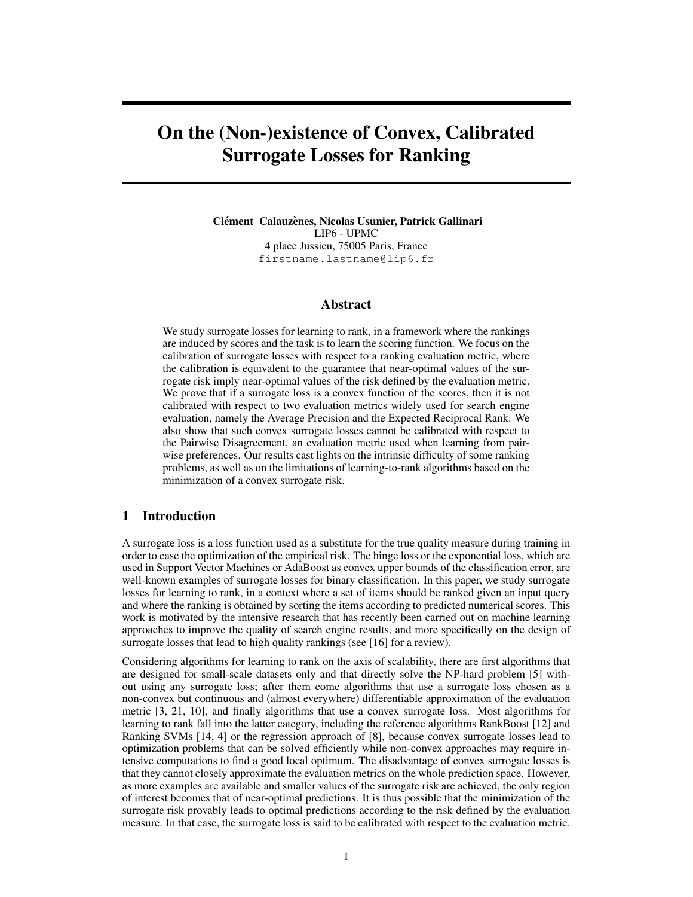# On the (Non-)existence of Convex, Calibrated Surrogate Losses for Ranking

Clément Calauzènes, Nicolas Usunier, Patrick Gallinari LIP6 - UPMC 4 place Jussieu, 75005 Paris, France firstname.lastname@lip6.fr

## Abstract

We study surrogate losses for learning to rank, in a framework where the rankings are induced by scores and the task is to learn the scoring function. We focus on the calibration of surrogate losses with respect to a ranking evaluation metric, where the calibration is equivalent to the guarantee that near-optimal values of the surrogate risk imply near-optimal values of the risk defined by the evaluation metric. We prove that if a surrogate loss is a convex function of the scores, then it is not calibrated with respect to two evaluation metrics widely used for search engine evaluation, namely the Average Precision and the Expected Reciprocal Rank. We also show that such convex surrogate losses cannot be calibrated with respect to the Pairwise Disagreement, an evaluation metric used when learning from pairwise preferences. Our results cast lights on the intrinsic difficulty of some ranking problems, as well as on the limitations of learning-to-rank algorithms based on the minimization of a convex surrogate risk.

## 1 Introduction

A surrogate loss is a loss function used as a substitute for the true quality measure during training in order to ease the optimization of the empirical risk. The hinge loss or the exponential loss, which are used in Support Vector Machines or AdaBoost as convex upper bounds of the classification error, are well-known examples of surrogate losses for binary classification. In this paper, we study surrogate losses for learning to rank, in a context where a set of items should be ranked given an input query and where the ranking is obtained by sorting the items according to predicted numerical scores. This work is motivated by the intensive research that has recently been carried out on machine learning approaches to improve the quality of search engine results, and more specifically on the design of surrogate losses that lead to high quality rankings (see [16] for a review).

Considering algorithms for learning to rank on the axis of scalability, there are first algorithms that are designed for small-scale datasets only and that directly solve the NP-hard problem [5] without using any surrogate loss; after them come algorithms that use a surrogate loss chosen as a non-convex but continuous and (almost everywhere) differentiable approximation of the evaluation metric [3, 21, 10], and finally algorithms that use a convex surrogate loss. Most algorithms for learning to rank fall into the latter category, including the reference algorithms RankBoost [12] and Ranking SVMs [14, 4] or the regression approach of [8], because convex surrogate losses lead to optimization problems that can be solved efficiently while non-convex approaches may require intensive computations to find a good local optimum. The disadvantage of convex surrogate losses is that they cannot closely approximate the evaluation metrics on the whole prediction space. However, as more examples are available and smaller values of the surrogate risk are achieved, the only region of interest becomes that of near-optimal predictions. It is thus possible that the minimization of the surrogate risk provably leads to optimal predictions according to the risk defined by the evaluation measure. In that case, the surrogate loss is said to be calibrated with respect to the evaluation metric.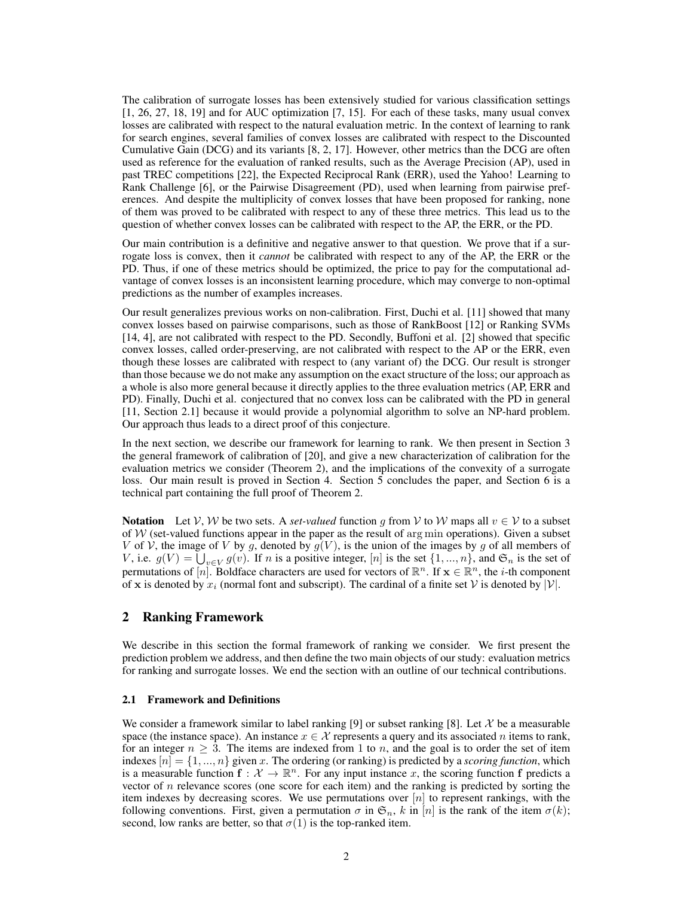The calibration of surrogate losses has been extensively studied for various classification settings [1, 26, 27, 18, 19] and for AUC optimization [7, 15]. For each of these tasks, many usual convex losses are calibrated with respect to the natural evaluation metric. In the context of learning to rank for search engines, several families of convex losses are calibrated with respect to the Discounted Cumulative Gain (DCG) and its variants [8, 2, 17]. However, other metrics than the DCG are often used as reference for the evaluation of ranked results, such as the Average Precision (AP), used in past TREC competitions [22], the Expected Reciprocal Rank (ERR), used the Yahoo! Learning to Rank Challenge [6], or the Pairwise Disagreement (PD), used when learning from pairwise preferences. And despite the multiplicity of convex losses that have been proposed for ranking, none of them was proved to be calibrated with respect to any of these three metrics. This lead us to the question of whether convex losses can be calibrated with respect to the AP, the ERR, or the PD.

Our main contribution is a definitive and negative answer to that question. We prove that if a surrogate loss is convex, then it *cannot* be calibrated with respect to any of the AP, the ERR or the PD. Thus, if one of these metrics should be optimized, the price to pay for the computational advantage of convex losses is an inconsistent learning procedure, which may converge to non-optimal predictions as the number of examples increases.

Our result generalizes previous works on non-calibration. First, Duchi et al. [11] showed that many convex losses based on pairwise comparisons, such as those of RankBoost [12] or Ranking SVMs [14, 4], are not calibrated with respect to the PD. Secondly, Buffoni et al. [2] showed that specific convex losses, called order-preserving, are not calibrated with respect to the AP or the ERR, even though these losses are calibrated with respect to (any variant of) the DCG. Our result is stronger than those because we do not make any assumption on the exact structure of the loss; our approach as a whole is also more general because it directly applies to the three evaluation metrics (AP, ERR and PD). Finally, Duchi et al. conjectured that no convex loss can be calibrated with the PD in general [11, Section 2.1] because it would provide a polynomial algorithm to solve an NP-hard problem. Our approach thus leads to a direct proof of this conjecture.

In the next section, we describe our framework for learning to rank. We then present in Section 3 the general framework of calibration of [20], and give a new characterization of calibration for the evaluation metrics we consider (Theorem 2), and the implications of the convexity of a surrogate loss. Our main result is proved in Section 4. Section 5 concludes the paper, and Section 6 is a technical part containing the full proof of Theorem 2.

**Notation** Let V, W be two sets. A *set-valued* function g from V to W maps all  $v \in V$  to a subset of  $W$  (set-valued functions appear in the paper as the result of arg min operations). Given a subset V of V, the image of V by g, denoted by  $g(V)$ , is the union of the images by g of all members of V, i.e.  $g(V) = \bigcup_{v \in V} g(v)$ . If n is a positive integer, [n] is the set  $\{1, ..., n\}$ , and  $\mathfrak{S}_n$  is the set of permutations of [n]. Boldface characters are used for vectors of  $\mathbb{R}^n$ . If  $\mathbf{x} \in \mathbb{R}^n$ , the *i*-th component of x is denoted by  $x_i$  (normal font and subscript). The cardinal of a finite set V is denoted by  $|\mathcal{V}|$ .

# 2 Ranking Framework

We describe in this section the formal framework of ranking we consider. We first present the prediction problem we address, and then define the two main objects of our study: evaluation metrics for ranking and surrogate losses. We end the section with an outline of our technical contributions.

## 2.1 Framework and Definitions

We consider a framework similar to label ranking [9] or subset ranking [8]. Let  $\mathcal X$  be a measurable space (the instance space). An instance  $x \in \mathcal{X}$  represents a query and its associated n items to rank, for an integer  $n \geq 3$ . The items are indexed from 1 to n, and the goal is to order the set of item indexes  $[n] = \{1, ..., n\}$  given x. The ordering (or ranking) is predicted by a *scoring function*, which is a measurable function  $f: \mathcal{X} \to \mathbb{R}^n$ . For any input instance x, the scoring function f predicts a vector of  $n$  relevance scores (one score for each item) and the ranking is predicted by sorting the item indexes by decreasing scores. We use permutations over  $[n]$  to represent rankings, with the following conventions. First, given a permutation  $\sigma$  in  $\mathfrak{S}_n$ , k in [n] is the rank of the item  $\sigma(k)$ ; second, low ranks are better, so that  $\sigma(1)$  is the top-ranked item.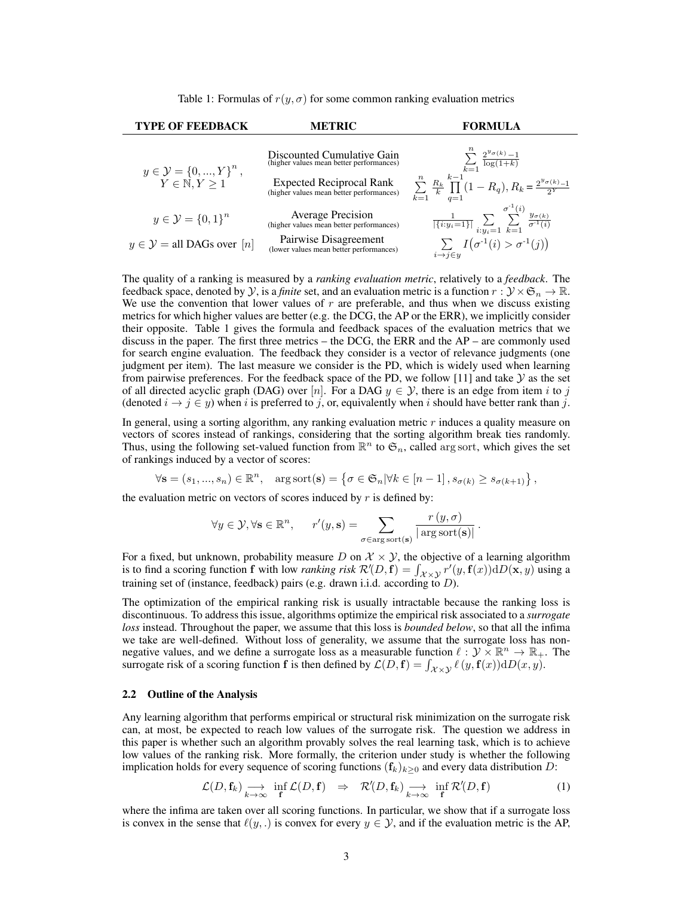| <b>TYPE OF FEEDBACK</b>                                              | METRIC                                                                                                                                                | FORMULA                                                                                                                                                   |
|----------------------------------------------------------------------|-------------------------------------------------------------------------------------------------------------------------------------------------------|-----------------------------------------------------------------------------------------------------------------------------------------------------------|
| $y \in \mathcal{Y} = \{0, , Y\}^n$ ,<br>$Y \in \mathbb{N}, Y \geq 1$ | Discounted Cumulative Gain<br>(higher values mean better performances)<br><b>Expected Reciprocal Rank</b><br>(higher values mean better performances) | $\sum_{k=1}^{n} \frac{2^{y_{\sigma(k)}} - 1}{\log(1+k)}$<br>$\sum_{k=1}^n \frac{R_k}{k} \prod_{q=1}^{k-1} (1-R_q), R_k = \frac{2^{y_{\sigma(k)}}-1}{2^Y}$ |
| $y \in \mathcal{Y} = \{0,1\}^n$                                      | <b>Average Precision</b><br>(higher values mean better performances)                                                                                  | $\frac{1}{\lvert \lbrace i : y_i = 1 \rbrace \rvert} \sum_{i : y_i = 1} \sum_{k=1}^{\sigma^{\text{-}1}(i)} \frac{y_{\sigma(k)}}{\sigma^{\text{-}1}(i)}$   |
| $y \in \mathcal{Y}$ = all DAGs over [n]                              | Pairwise Disagreement<br>(lower values mean better performances)                                                                                      | $\sum I(\sigma^{-1}(i) > \sigma^{-1}(j))$<br>$i \rightarrow i \in u$                                                                                      |

Table 1: Formulas of  $r(y, \sigma)$  for some common ranking evaluation metrics

The quality of a ranking is measured by a *ranking evaluation metric*, relatively to a *feedback*. The feedback space, denoted by  $\mathcal{Y}$ , is a *finite* set, and an evaluation metric is a function  $r : \mathcal{Y} \times \mathfrak{S}_n \to \mathbb{R}$ . We use the convention that lower values of  $r$  are preferable, and thus when we discuss existing metrics for which higher values are better (e.g. the DCG, the AP or the ERR), we implicitly consider their opposite. Table 1 gives the formula and feedback spaces of the evaluation metrics that we discuss in the paper. The first three metrics – the DCG, the ERR and the AP – are commonly used for search engine evaluation. The feedback they consider is a vector of relevance judgments (one judgment per item). The last measure we consider is the PD, which is widely used when learning from pairwise preferences. For the feedback space of the PD, we follow [11] and take  $\mathcal Y$  as the set of all directed acyclic graph (DAG) over [n]. For a DAG  $y \in \mathcal{Y}$ , there is an edge from item i to j (denoted  $i \rightarrow j \in y$ ) when i is preferred to j, or, equivalently when i should have better rank than j.

In general, using a sorting algorithm, any ranking evaluation metric  $r$  induces a quality measure on vectors of scores instead of rankings, considering that the sorting algorithm break ties randomly. Thus, using the following set-valued function from  $\mathbb{R}^n$  to  $\mathfrak{S}_n$ , called arg sort, which gives the set of rankings induced by a vector of scores:

$$
\forall \mathbf{s} = (s_1, ..., s_n) \in \mathbb{R}^n, \quad \arg\operatorname{sort}(\mathbf{s}) = \left\{ \sigma \in \mathfrak{S}_n | \forall k \in [n-1], s_{\sigma(k)} \ge s_{\sigma(k+1)} \right\},
$$

the evaluation metric on vectors of scores induced by  $r$  is defined by:

$$
\forall y \in \mathcal{Y}, \forall \mathbf{s} \in \mathbb{R}^n, \qquad r'(y, \mathbf{s}) = \sum_{\sigma \in \text{argsort}(\mathbf{s})} \frac{r(y, \sigma)}{|\arg \text{sort}(\mathbf{s})|}.
$$

For a fixed, but unknown, probability measure D on  $\mathcal{X} \times \mathcal{Y}$ , the objective of a learning algorithm is to find a scoring function **f** with low *ranking risk*  $\mathcal{R}'(D, \mathbf{f}) = \int_{\mathcal{X} \times \mathcal{Y}} r'(y, \mathbf{f}(x)) dD(\mathbf{x}, y)$  using a training set of (instance, feedback) pairs (e.g. drawn i.i.d. according to  $D$ ).

The optimization of the empirical ranking risk is usually intractable because the ranking loss is discontinuous. To address this issue, algorithms optimize the empirical risk associated to a *surrogate loss* instead. Throughout the paper, we assume that this loss is *bounded below*, so that all the infima we take are well-defined. Without loss of generality, we assume that the surrogate loss has nonnegative values, and we define a surrogate loss as a measurable function  $\ell : \mathcal{Y} \times \mathbb{R}^n \to \mathbb{R}_+$ . The surrogate risk of a scoring function **f** is then defined by  $\mathcal{L}(D, \mathbf{f}) = \int_{\mathcal{X} \times \mathcal{Y}} \ell(y, \mathbf{f}(x)) dD(x, y)$ .

### 2.2 Outline of the Analysis

Any learning algorithm that performs empirical or structural risk minimization on the surrogate risk can, at most, be expected to reach low values of the surrogate risk. The question we address in this paper is whether such an algorithm provably solves the real learning task, which is to achieve low values of the ranking risk. More formally, the criterion under study is whether the following implication holds for every sequence of scoring functions  $(f_k)_{k>0}$  and every data distribution D:

$$
\mathcal{L}(D, \mathbf{f}_k) \underset{k \to \infty}{\longrightarrow} \inf_{\mathbf{f}} \mathcal{L}(D, \mathbf{f}) \Rightarrow \mathcal{R}'(D, \mathbf{f}_k) \underset{k \to \infty}{\longrightarrow} \inf_{\mathbf{f}} \mathcal{R}'(D, \mathbf{f})
$$
(1)

where the infima are taken over all scoring functions. In particular, we show that if a surrogate loss is convex in the sense that  $\ell(y,.)$  is convex for every  $y \in \mathcal{Y}$ , and if the evaluation metric is the AP,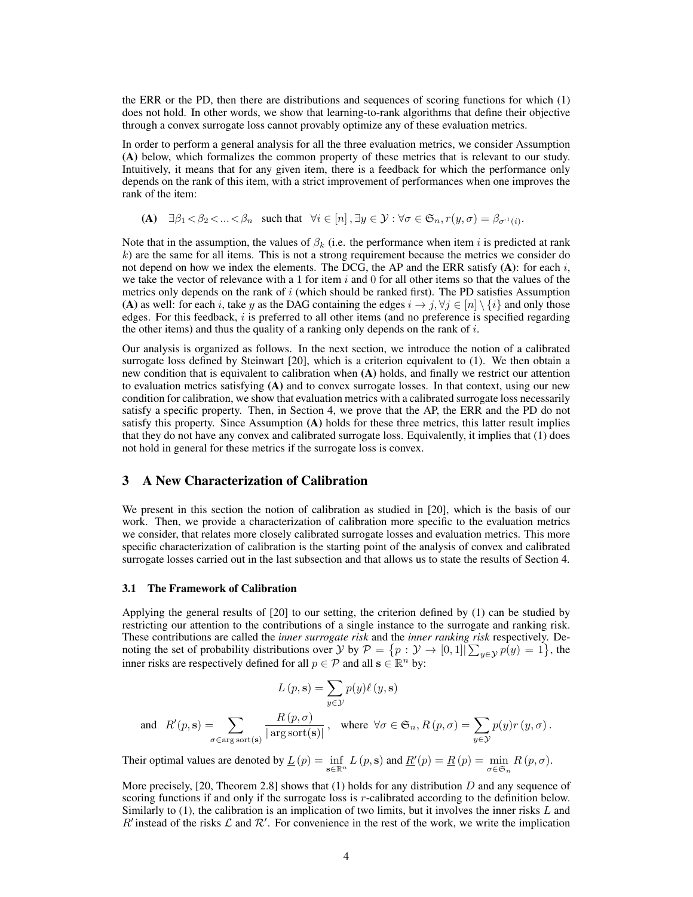the ERR or the PD, then there are distributions and sequences of scoring functions for which (1) does not hold. In other words, we show that learning-to-rank algorithms that define their objective through a convex surrogate loss cannot provably optimize any of these evaluation metrics.

In order to perform a general analysis for all the three evaluation metrics, we consider Assumption (A) below, which formalizes the common property of these metrics that is relevant to our study. Intuitively, it means that for any given item, there is a feedback for which the performance only depends on the rank of this item, with a strict improvement of performances when one improves the rank of the item:

(A)  $\exists \beta_1 < \beta_2 < ... < \beta_n$  such that  $\forall i \in [n]$ ,  $\exists y \in \mathcal{Y} : \forall \sigma \in \mathfrak{S}_n$ ,  $r(y, \sigma) = \beta_{\sigma^{-1}(i)}$ .

Note that in the assumption, the values of  $\beta_k$  (i.e. the performance when item i is predicted at rank  $k$ ) are the same for all items. This is not a strong requirement because the metrics we consider do not depend on how we index the elements. The DCG, the AP and the ERR satisfy  $(A)$ : for each i, we take the vector of relevance with a 1 for item  $i$  and 0 for all other items so that the values of the metrics only depends on the rank of  $i$  (which should be ranked first). The PD satisfies Assumption (A) as well: for each i, take y as the DAG containing the edges  $i \to j, \forall j \in [n] \setminus \{i\}$  and only those edges. For this feedback,  $i$  is preferred to all other items (and no preference is specified regarding the other items) and thus the quality of a ranking only depends on the rank of  $i$ .

Our analysis is organized as follows. In the next section, we introduce the notion of a calibrated surrogate loss defined by Steinwart [20], which is a criterion equivalent to (1). We then obtain a new condition that is equivalent to calibration when  $(A)$  holds, and finally we restrict our attention to evaluation metrics satisfying (A) and to convex surrogate losses. In that context, using our new condition for calibration, we show that evaluation metrics with a calibrated surrogate loss necessarily satisfy a specific property. Then, in Section 4, we prove that the AP, the ERR and the PD do not satisfy this property. Since Assumption (A) holds for these three metrics, this latter result implies that they do not have any convex and calibrated surrogate loss. Equivalently, it implies that (1) does not hold in general for these metrics if the surrogate loss is convex.

## 3 A New Characterization of Calibration

We present in this section the notion of calibration as studied in [20], which is the basis of our work. Then, we provide a characterization of calibration more specific to the evaluation metrics we consider, that relates more closely calibrated surrogate losses and evaluation metrics. This more specific characterization of calibration is the starting point of the analysis of convex and calibrated surrogate losses carried out in the last subsection and that allows us to state the results of Section 4.

#### 3.1 The Framework of Calibration

Applying the general results of [20] to our setting, the criterion defined by (1) can be studied by restricting our attention to the contributions of a single instance to the surrogate and ranking risk. These contributions are called the *inner surrogate risk* and the *inner ranking risk* respectively. Denoting the set of probability distributions over  $\mathcal Y$  by  $\mathcal P = \{p : \mathcal Y \to [0,1]|\sum_{y \in \mathcal Y} p(y) = 1\}$ , the inner risks are respectively defined for all  $p \in \mathcal{P}$  and all  $\mathbf{s} \in \mathbb{R}^n$  by:

$$
L(p, \mathbf{s}) = \sum_{y \in \mathcal{Y}} p(y) \ell(y, \mathbf{s})
$$

$$
\text{and} \hspace{0.3cm} R'(p, \mathbf{s}) = \sum_{\sigma \in \arg\operatorname{sort}(\mathbf{s})} \frac{R\left(p, \sigma\right)}{|\arg\operatorname{sort}(\mathbf{s})|} \, , \quad \text{where} \hspace{0.3cm} \forall \sigma \in \mathfrak{S}_n, R\left(p, \sigma\right) = \sum_{y \in \mathcal{Y}} p(y) r\left(y, \sigma\right).
$$

Their optimal values are denoted by  $\underline{L}(p) = \inf_{\mathbf{s} \in \mathbb{R}^n} L(p, \mathbf{s})$  and  $\underline{R}'(p) = \underline{R}(p) = \min_{\sigma \in \mathfrak{S}_n} R(p, \sigma)$ .

More precisely,  $[20,$  Theorem 2.8] shows that  $(1)$  holds for any distribution D and any sequence of scoring functions if and only if the surrogate loss is r-calibrated according to the definition below. Similarly to  $(1)$ , the calibration is an implication of two limits, but it involves the inner risks  $L$  and  $R'$  instead of the risks  $\mathcal L$  and  $\mathcal R'$ . For convenience in the rest of the work, we write the implication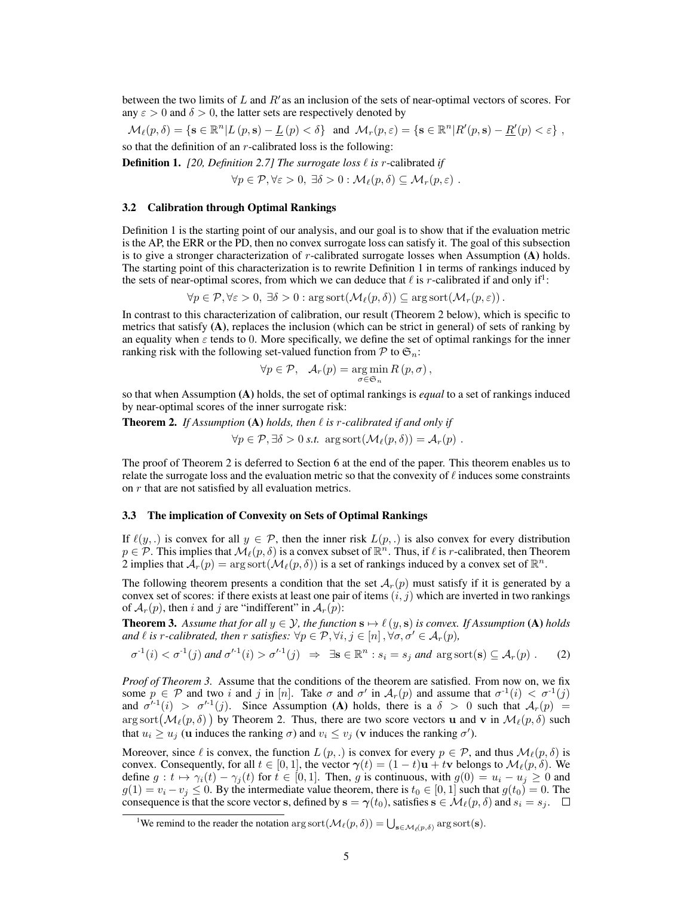between the two limits of  $L$  and  $R'$  as an inclusion of the sets of near-optimal vectors of scores. For any  $\varepsilon > 0$  and  $\delta > 0$ , the latter sets are respectively denoted by

 $\mathcal{M}_{\ell}(p,\delta) = \{ \mathbf{s} \in \mathbb{R}^n | L(p,\mathbf{s}) - \underline{L}(p) < \delta \}$  and  $\mathcal{M}_r(p,\varepsilon) = \{ \mathbf{s} \in \mathbb{R}^n | R'(p,\mathbf{s}) - \underline{R}'(p) < \varepsilon \}$ , so that the definition of an  $r$ -calibrated loss is the following:

**Definition 1.** [20, Definition 2.7] The surrogate loss  $\ell$  is r-calibrated if

 $\forall p \in \mathcal{P}, \forall \varepsilon > 0, \exists \delta > 0 : \mathcal{M}_{\ell}(p, \delta) \subseteq \mathcal{M}_{r}(p, \varepsilon)$ .

#### 3.2 Calibration through Optimal Rankings

Definition 1 is the starting point of our analysis, and our goal is to show that if the evaluation metric is the AP, the ERR or the PD, then no convex surrogate loss can satisfy it. The goal of this subsection is to give a stronger characterization of  $r$ -calibrated surrogate losses when Assumption (A) holds. The starting point of this characterization is to rewrite Definition 1 in terms of rankings induced by the sets of near-optimal scores, from which we can deduce that  $\ell$  is r-calibrated if and only if<sup>1</sup>:

 $\forall p \in \mathcal{P}, \forall \varepsilon > 0, \exists \delta > 0 : \arg \text{sort}(\mathcal{M}_\ell(p, \delta)) \subseteq \arg \text{sort}(\mathcal{M}_r(p, \varepsilon)).$ 

In contrast to this characterization of calibration, our result (Theorem 2 below), which is specific to metrics that satisfy (A), replaces the inclusion (which can be strict in general) of sets of ranking by an equality when  $\varepsilon$  tends to 0. More specifically, we define the set of optimal rankings for the inner ranking risk with the following set-valued function from  $P$  to  $\mathfrak{S}_n$ :

$$
\forall p \in \mathcal{P}, \quad \mathcal{A}_r(p) = \argmin_{\sigma \in \mathfrak{S}_n} R(p, \sigma),
$$

so that when Assumption (A) holds, the set of optimal rankings is *equal* to a set of rankings induced by near-optimal scores of the inner surrogate risk:

**Theorem 2.** If Assumption (A) holds, then  $\ell$  is r-calibrated if and only if

$$
\forall p \in \mathcal{P}, \exists \delta > 0 \text{ s.t. } \arg \text{sort}(\mathcal{M}_{\ell}(p, \delta)) = \mathcal{A}_r(p) .
$$

The proof of Theorem 2 is deferred to Section 6 at the end of the paper. This theorem enables us to relate the surrogate loss and the evaluation metric so that the convexity of  $\ell$  induces some constraints on r that are not satisfied by all evaluation metrics.

#### 3.3 The implication of Convexity on Sets of Optimal Rankings

If  $\ell(y,.)$  is convex for all  $y \in \mathcal{P}$ , then the inner risk  $L(p,.)$  is also convex for every distribution  $p \in \mathcal{P}$ . This implies that  $\mathcal{M}_\ell(p,\delta)$  is a convex subset of  $\mathbb{R}^n$ . Thus, if  $\ell$  is r-calibrated, then Theorem 2 implies that  $\mathcal{A}_r(p) = \arg \text{sort}(\mathcal{M}_\ell(p, \delta))$  is a set of rankings induced by a convex set of  $\mathbb{R}^n$ .

The following theorem presents a condition that the set  $\mathcal{A}_r(p)$  must satisfy if it is generated by a convex set of scores: if there exists at least one pair of items  $(i, j)$  which are inverted in two rankings of  $\mathcal{A}_r(p)$ , then i and j are "indifferent" in  $\mathcal{A}_r(p)$ :

**Theorem 3.** Assume that for all  $y \in \mathcal{Y}$ , the function  $s \mapsto \ell(y, s)$  is convex. If Assumption (A) holds *and*  $\ell$  *is* r-calibrated, then r satisfies:  $\forall p \in \mathcal{P}, \forall i, j \in [n]$ ,  $\forall \sigma, \sigma' \in \mathcal{A}_r(p)$ ,

$$
\sigma^{-1}(i) < \sigma^{-1}(j) \text{ and } \sigma'^{-1}(i) > \sigma'^{-1}(j) \implies \exists \mathbf{s} \in \mathbb{R}^n : s_i = s_j \text{ and } \arg \text{sort}(\mathbf{s}) \subseteq \mathcal{A}_r(p) \tag{2}
$$

*Proof of Theorem 3.* Assume that the conditions of the theorem are satisfied. From now on, we fix some  $p \in \mathcal{P}$  and two i and j in [n]. Take  $\sigma$  and  $\sigma'$  in  $\mathcal{A}_r(p)$  and assume that  $\sigma^{-1}(i) < \sigma^{-1}(j)$ and  $\sigma^{-1}(i) > \sigma^{-1}(j)$ . Since Assumption (A) holds, there is a  $\delta > 0$  such that  $\mathcal{A}_r(p) =$ arg sort  $(M_\ell(p,\delta))$  by Theorem 2. Thus, there are two score vectors u and v in  $\mathcal{M}_\ell(p,\delta)$  such that  $u_i \ge u_j$  (u induces the ranking  $\sigma$ ) and  $v_i \le v_j$  (v induces the ranking  $\sigma'$ ).

Moreover, since  $\ell$  is convex, the function  $L(p,.)$  is convex for every  $p \in \mathcal{P}$ , and thus  $\mathcal{M}_{\ell}(p, \delta)$  is convex. Consequently, for all  $t \in [0, 1]$ , the vector  $\gamma(t) = (1 - t)\mathbf{u} + t\mathbf{v}$  belongs to  $\mathcal{M}_{\ell}(p, \delta)$ . We define  $g : t \mapsto \gamma_i(t) - \gamma_j(t)$  for  $t \in [0, 1]$ . Then, g is continuous, with  $g(0) = u_i - u_j \ge 0$  and  $g(1) = v_i - v_j \le 0$ . By the intermediate value theorem, there is  $t_0 \in [0, 1]$  such that  $g(t_0) = 0$ . The consequence is that the score vector s, defined by  $s = \gamma(t_0)$ , satisfies  $s \in \mathcal{M}_{\ell}(p, \delta)$  and  $s_i = s_j$ .

<sup>&</sup>lt;sup>1</sup>We remind to the reader the notation  $\arg \text{sort}(\mathcal{M}_{\ell}(p, \delta)) = \bigcup_{\mathbf{s} \in \mathcal{M}_{\ell}(p, \delta)} \arg \text{sort}(\mathbf{s}).$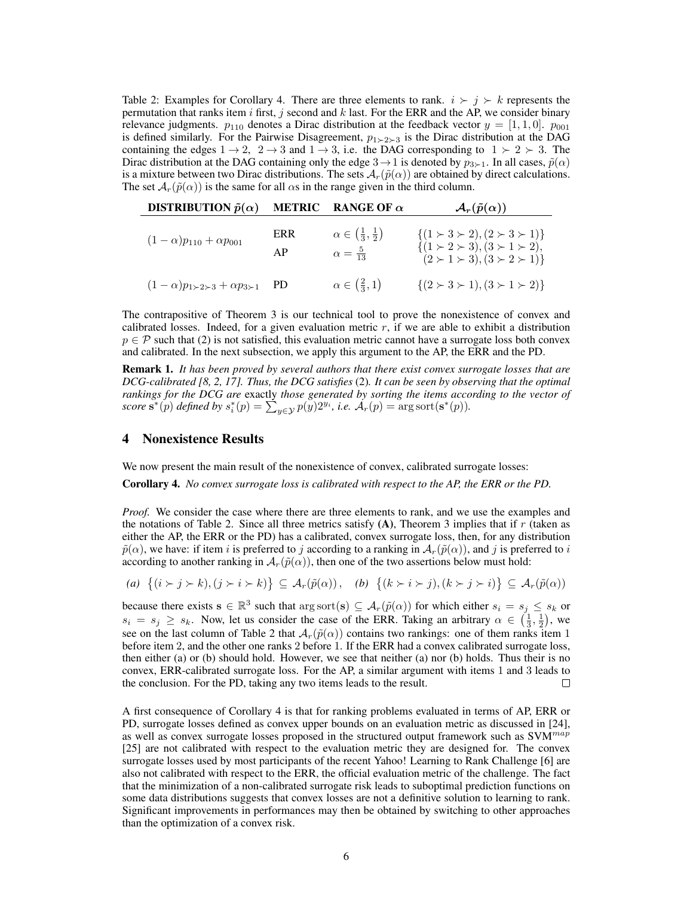Table 2: Examples for Corollary 4. There are three elements to rank.  $i \succ j \succ k$  represents the permutation that ranks item i first, j second and  $k$  last. For the ERR and the AP, we consider binary relevance judgments.  $p_{110}$  denotes a Dirac distribution at the feedback vector  $y = [1, 1, 0]$ .  $p_{001}$ is defined similarly. For the Pairwise Disagreement,  $p_{1 \geq 2 \geq 3}$  is the Dirac distribution at the DAG containing the edges  $1 \rightarrow 2$ ,  $2 \rightarrow 3$  and  $1 \rightarrow 3$ , i.e. the DAG corresponding to  $1 \succ 2 \succ 3$ . The Dirac distribution at the DAG containing only the edge  $3 \rightarrow 1$  is denoted by  $p_{3 \succ 1}$ . In all cases,  $\tilde{p}(\alpha)$ is a mixture between two Dirac distributions. The sets  $\mathcal{A}_r(\tilde{p}(\alpha))$  are obtained by direct calculations. The set  $\mathcal{A}_r(\tilde{p}(\alpha))$  is the same for all  $\alpha$ s in the range given in the third column.

| DISTRIBUTION $\tilde{p}(\alpha)$        |            | <b>METRIC</b> RANGE OF $\alpha$                                   | $\mathcal{A}_r(\tilde{p}(\alpha))$                                                                                                             |
|-----------------------------------------|------------|-------------------------------------------------------------------|------------------------------------------------------------------------------------------------------------------------------------------------|
| $(1 - \alpha)p_{110} + \alpha p_{001}$  | ERR<br>AP. | $\alpha \in (\frac{1}{3},\frac{1}{2})$<br>$\alpha = \frac{5}{13}$ | $\{(1 \succ 3 \succ 2), (2 \succ 3 \succ 1)\}\$<br>$\{(1 \succ 2 \succ 3), (3 \succ 1 \succ 2),$<br>$(2 \succ 1 \succ 3), (3 \succ 2 \succ 1)$ |
| $(1-\alpha)p_{1>2>3}+\alpha p_{3>1}$ PD |            | $\alpha \in (\frac{2}{3}, 1)$                                     | $\{(2 \succ 3 \succ 1), (3 \succ 1 \succ 2)\}\$                                                                                                |

The contrapositive of Theorem 3 is our technical tool to prove the nonexistence of convex and calibrated losses. Indeed, for a given evaluation metric  $r$ , if we are able to exhibit a distribution  $p \in \mathcal{P}$  such that (2) is not satisfied, this evaluation metric cannot have a surrogate loss both convex and calibrated. In the next subsection, we apply this argument to the AP, the ERR and the PD.

Remark 1. *It has been proved by several authors that there exist convex surrogate losses that are DCG-calibrated [8, 2, 17]. Thus, the DCG satisfies* (2)*. It can be seen by observing that the optimal rankings for the DCG are* exactly *those generated by sorting the items according to the vector of* score  $\mathbf{s}^*(p)$  defined by  $s_i^*(p) = \sum_{y \in \mathcal{Y}} p(y) 2^{y_i}$ , i.e.  $\mathcal{A}_r(p) = \arg \text{sort}(\mathbf{s}^*(p))$ .

## 4 Nonexistence Results

We now present the main result of the nonexistence of convex, calibrated surrogate losses:

Corollary 4. *No convex surrogate loss is calibrated with respect to the AP, the ERR or the PD.*

*Proof.* We consider the case where there are three elements to rank, and we use the examples and the notations of Table 2. Since all three metrics satisfy  $(A)$ , Theorem 3 implies that if r (taken as either the AP, the ERR or the PD) has a calibrated, convex surrogate loss, then, for any distribution  $\tilde{p}(\alpha)$ , we have: if item i is preferred to j according to a ranking in  $\mathcal{A}_r(\tilde{p}(\alpha))$ , and j is preferred to i according to another ranking in  $\mathcal{A}_r(\tilde{p}(\alpha))$ , then one of the two assertions below must hold:

(a) 
$$
\{(i \succ j \succ k), (j \succ i \succ k)\}\subseteq \mathcal{A}_r(\tilde{p}(\alpha)),
$$
 (b)  $\{(k \succ i \succ j), (k \succ j \succ i)\}\subseteq \mathcal{A}_r(\tilde{p}(\alpha))$ 

because there exists  $\mathbf{s} \in \mathbb{R}^3$  such that  $\arg \text{sort}(\mathbf{s}) \subseteq \mathcal{A}_r(\tilde{p}(\alpha))$  for which either  $s_i = s_j \leq s_k$  or  $s_i = s_j \ge s_k$ . Now, let us consider the case of the ERR. Taking an arbitrary  $\alpha \in (\frac{1}{3}, \frac{1}{2})$ , we see on the last column of Table 2 that  $A_r(\tilde{p}(\alpha))$  contains two rankings: one of them ranks item 1 before item 2, and the other one ranks 2 before 1. If the ERR had a convex calibrated surrogate loss, then either (a) or (b) should hold. However, we see that neither (a) nor (b) holds. Thus their is no convex, ERR-calibrated surrogate loss. For the AP, a similar argument with items 1 and 3 leads to the conclusion. For the PD, taking any two items leads to the result. П

A first consequence of Corollary 4 is that for ranking problems evaluated in terms of AP, ERR or PD, surrogate losses defined as convex upper bounds on an evaluation metric as discussed in [24], as well as convex surrogate losses proposed in the structured output framework such as  $\text{SVM}^{map}$ [25] are not calibrated with respect to the evaluation metric they are designed for. The convex surrogate losses used by most participants of the recent Yahoo! Learning to Rank Challenge [6] are also not calibrated with respect to the ERR, the official evaluation metric of the challenge. The fact that the minimization of a non-calibrated surrogate risk leads to suboptimal prediction functions on some data distributions suggests that convex losses are not a definitive solution to learning to rank. Significant improvements in performances may then be obtained by switching to other approaches than the optimization of a convex risk.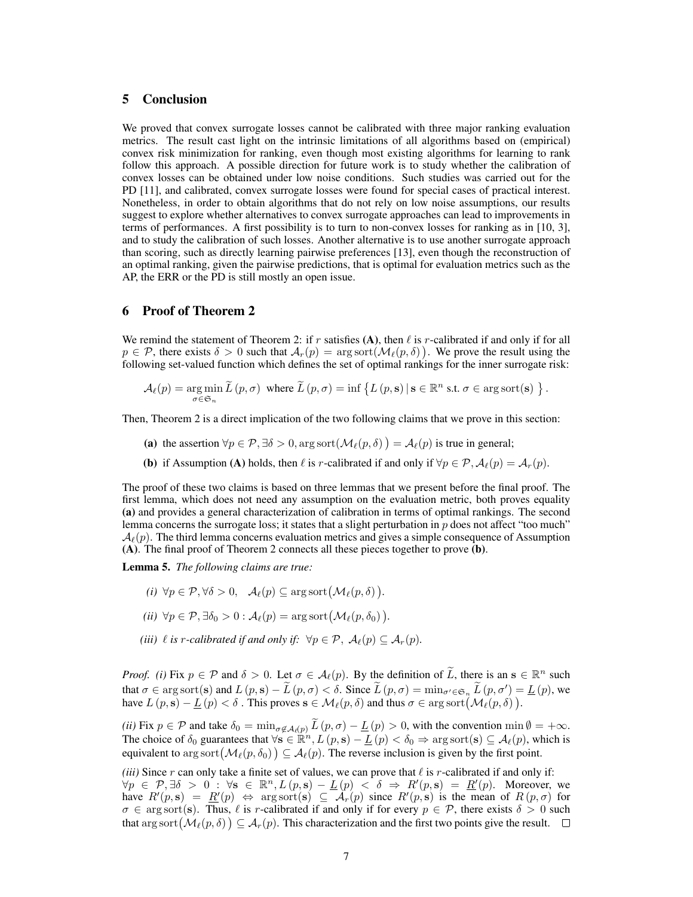## 5 Conclusion

We proved that convex surrogate losses cannot be calibrated with three major ranking evaluation metrics. The result cast light on the intrinsic limitations of all algorithms based on (empirical) convex risk minimization for ranking, even though most existing algorithms for learning to rank follow this approach. A possible direction for future work is to study whether the calibration of convex losses can be obtained under low noise conditions. Such studies was carried out for the PD [11], and calibrated, convex surrogate losses were found for special cases of practical interest. Nonetheless, in order to obtain algorithms that do not rely on low noise assumptions, our results suggest to explore whether alternatives to convex surrogate approaches can lead to improvements in terms of performances. A first possibility is to turn to non-convex losses for ranking as in [10, 3], and to study the calibration of such losses. Another alternative is to use another surrogate approach than scoring, such as directly learning pairwise preferences [13], even though the reconstruction of an optimal ranking, given the pairwise predictions, that is optimal for evaluation metrics such as the AP, the ERR or the PD is still mostly an open issue.

## 6 Proof of Theorem 2

We remind the statement of Theorem 2: if r satisfies  $(A)$ , then  $\ell$  is r-calibrated if and only if for all  $p \in \mathcal{P}$ , there exists  $\delta > 0$  such that  $\mathcal{A}_r(p) = \arg \text{sort}(\mathcal{M}_\ell(p, \delta))$ . We prove the result using the following set-valued function which defines the set of optimal rankings for the inner surrogate risk:

$$
\mathcal{A}_{\ell}(p) = \underset{\sigma \in \mathfrak{S}_n}{\arg \min} \widetilde{L}(p, \sigma) \text{ where } \widetilde{L}(p, \sigma) = \inf \left\{ L(p, \mathbf{s}) \, | \, \mathbf{s} \in \mathbb{R}^n \text{ s.t. } \sigma \in \arg \text{sort}(\mathbf{s}) \right\}.
$$

Then, Theorem 2 is a direct implication of the two following claims that we prove in this section:

- (a) the assertion  $\forall p \in \mathcal{P}, \exists \delta > 0, \arg sort(\mathcal{M}_{\ell}(p, \delta)) = \mathcal{A}_{\ell}(p)$  is true in general;
- (b) if Assumption (A) holds, then  $\ell$  is r-calibrated if and only if  $\forall p \in \mathcal{P}, \mathcal{A}_{\ell}(p) = \mathcal{A}_{r}(p)$ .

The proof of these two claims is based on three lemmas that we present before the final proof. The first lemma, which does not need any assumption on the evaluation metric, both proves equality (a) and provides a general characterization of calibration in terms of optimal rankings. The second lemma concerns the surrogate loss; it states that a slight perturbation in p does not affect "too much"  $\mathcal{A}_{\ell}(p)$ . The third lemma concerns evaluation metrics and gives a simple consequence of Assumption (A). The final proof of Theorem 2 connects all these pieces together to prove (b).

Lemma 5. *The following claims are true:*

- $(i)$   $\forall p \in \mathcal{P}, \forall \delta > 0, \quad \mathcal{A}_{\ell}(p) \subseteq \arg \text{sort}(\mathcal{M}_{\ell}(p, \delta)).$
- (*ii*)  $\forall p \in \mathcal{P}, \exists \delta_0 > 0 : \mathcal{A}_{\ell}(p) = \arg \text{sort}(\mathcal{M}_{\ell}(p, \delta_0)).$
- *(iii)*  $\ell$  *is* r-calibrated if and only if:  $\forall p \in \mathcal{P}, A_{\ell}(p) \subseteq A_r(p)$ .

*Proof.* (*i*) Fix  $p \in \mathcal{P}$  and  $\delta > 0$ . Let  $\sigma \in \mathcal{A}_{\ell}(p)$ . By the definition of  $\tilde{L}$ , there is an  $s \in \mathbb{R}^n$  such that  $\sigma \in \arg \text{sort(s)}$  and  $L(p, s) - \tilde{L}(p, \sigma) < \delta$ . Since  $\tilde{L}(p, \sigma) = \min_{\sigma' \in \mathfrak{S}_n} \tilde{L}(p, \sigma') = \underline{L}(p)$ , we have  $L(p, s) - L(p) < \delta$ . This proves  $s \in \mathcal{M}_{\ell}(p, \delta)$  and thus  $\sigma \in \arg \text{sort}(\mathcal{M}_{\ell}(p, \delta))$ .

(*ii*) Fix  $p \in \mathcal{P}$  and take  $\delta_0 = \min_{\sigma \notin \mathcal{A}_{\ell}(p)} L(p, \sigma) - L(p) > 0$ , with the convention  $\min \emptyset = +\infty$ . The choice of  $\delta_0$  guarantees that  $\forall s \in \mathbb{R}^n$ ,  $L(p, s) - L(p) < \delta_0 \Rightarrow \arg \text{sort}(s) \subseteq \mathcal{A}_{\ell}(p)$ , which is equivalent to  $\arg \text{sort}(\mathcal{M}_{\ell}(p, \delta_0)) \subseteq \mathcal{A}_{\ell}(p)$ . The reverse inclusion is given by the first point.

*(iii)* Since  $r$  can only take a finite set of values, we can prove that  $\ell$  is  $r$ -calibrated if and only if:  $\forall p \in \mathcal{P}, \exists \delta > 0$ :  $\forall \mathbf{s} \in \mathbb{R}^n, L(p, \mathbf{s}) - \underline{L}(p) < \delta \Rightarrow R'(p, \mathbf{s}) = \underline{R}'(p)$ . Moreover, we have  $R'(p, s) = R'(p) \Leftrightarrow \arg \text{sort}(s) \subseteq A_r(p)$  since  $R'(p, s)$  is the mean of  $R(p, \sigma)$  for  $\sigma \in \arg\text{sort}(s)$ . Thus,  $\ell$  is r-calibrated if and only if for every  $p \in \mathcal{P}$ , there exists  $\delta > 0$  such that  $\arg sort(M_\ell(p,\delta)) \subseteq \mathcal{A}_r(p)$ . This characterization and the first two points give the result.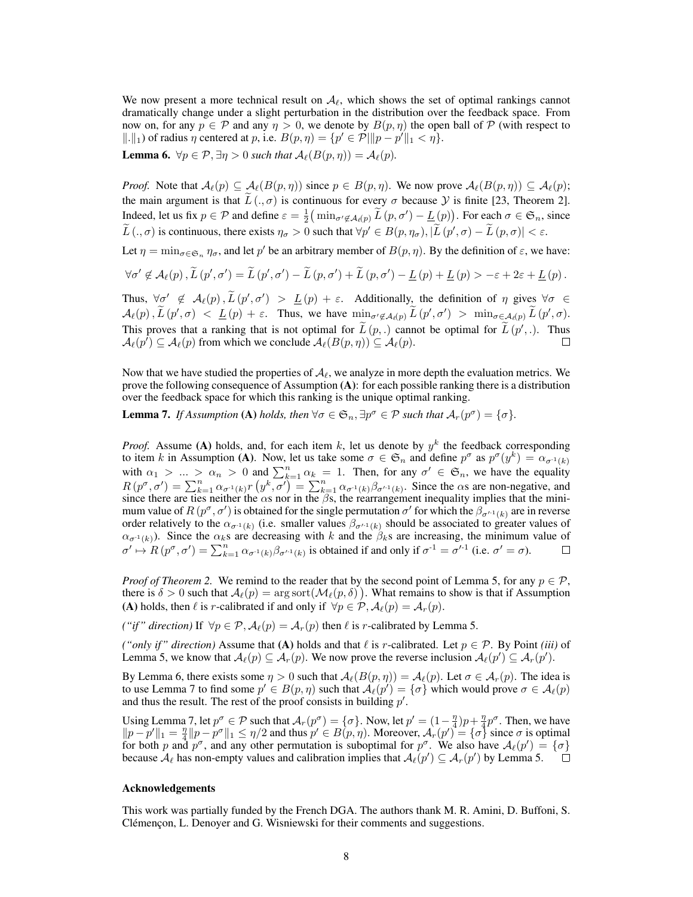We now present a more technical result on  $A_\ell$ , which shows the set of optimal rankings cannot dramatically change under a slight perturbation in the distribution over the feedback space. From now on, for any  $p \in \mathcal{P}$  and any  $\eta > 0$ , we denote by  $B(p, \eta)$  the open ball of  $\mathcal{P}$  (with respect to  $\|\cdot\|_1$ ) of radius  $\eta$  centered at p, i.e.  $B(p, \eta) = \{p' \in \mathcal{P} | \|p - p'\|_1 < \eta\}.$ 

**Lemma 6.**  $\forall p \in \mathcal{P}, \exists \eta > 0$  such that  $\mathcal{A}_{\ell}(B(p, \eta)) = \mathcal{A}_{\ell}(p)$ .

*Proof.* Note that  $A_\ell(p) \subseteq A_\ell(B(p, \eta))$  since  $p \in B(p, \eta)$ . We now prove  $A_\ell(B(p, \eta)) \subseteq A_\ell(p)$ ; the main argument is that  $\tilde{L}(\cdot, \sigma)$  is continuous for every  $\sigma$  because  $\mathcal Y$  is finite [23, Theorem 2]. Indeed, let us fix  $p \in \mathcal{P}$  and define  $\varepsilon = \frac{1}{2} \big( \min_{\sigma' \notin \mathcal{A}_{\ell}(p)} \widetilde{L}(p, \sigma') - \underline{L}(p) \big)$ . For each  $\sigma \in \mathfrak{S}_n$ , since  $\widetilde{L}(.,\sigma)$  is continuous, there exists  $\eta_{\sigma} > 0$  such that  $\forall p' \in B(p,\eta_{\sigma}), |\widetilde{L}(p',\sigma) - \widetilde{L}(p,\sigma)| < \varepsilon$ .

Let  $\eta = \min_{\sigma \in \mathfrak{S}_n} \eta_{\sigma}$ , and let  $p'$  be an arbitrary member of  $B(p, \eta)$ . By the definition of  $\varepsilon$ , we have:

$$
\forall \sigma' \notin \mathcal{A}_{\ell}(p), \widetilde{L}(p', \sigma') = \widetilde{L}(p', \sigma') - \widetilde{L}(p, \sigma') + \widetilde{L}(p, \sigma') - \underline{L}(p) + \underline{L}(p) > -\varepsilon + 2\varepsilon + \underline{L}(p).
$$

Thus,  $\forall \sigma' \notin \mathcal{A}_{\ell}(p), \widetilde{L}(p', \sigma') > \underline{L}(p) + \varepsilon$ . Additionally, the definition of  $\eta$  gives  $\forall \sigma \in$  $\mathcal{A}_{\ell}(p), \tilde{L}(p', \sigma) < \underline{L}(p) + \varepsilon$ . Thus, we have  $\min_{\sigma' \notin \mathcal{A}_{\ell}(p)} \tilde{L}(p', \sigma') > \min_{\sigma \in \mathcal{A}_{\ell}(p)} \tilde{L}(p', \sigma)$ . This proves that a ranking that is not optimal for  $\tilde{L}(p_1)$  cannot be optimal for  $\tilde{L}(p',.)$ . Thus  $\mathcal{A}_{\ell}(p') \subseteq \mathcal{A}_{\ell}(p)$  from which we conclude  $\mathcal{A}_{\ell}(B(p,\eta)) \subseteq \mathcal{A}_{\ell}(p)$ . П

Now that we have studied the properties of  $A_\ell$ , we analyze in more depth the evaluation metrics. We prove the following consequence of Assumption (A): for each possible ranking there is a distribution over the feedback space for which this ranking is the unique optimal ranking.

**Lemma 7.** If Assumption (**A**) holds, then  $\forall \sigma \in \mathfrak{S}_n$ ,  $\exists p^{\sigma} \in \mathcal{P}$  such that  $\mathcal{A}_r(p^{\sigma}) = \{\sigma\}.$ 

*Proof.* Assume (A) holds, and, for each item  $k$ , let us denote by  $y^k$  the feedback corresponding to item k in Assumption (A). Now, let us take some  $\sigma \in \mathfrak{S}_n$  and define  $p^{\sigma}$  as  $p^{\sigma}(y^k) = \alpha_{\sigma^{-1}(k)}$ with  $\alpha_1 > ... > \alpha_n > 0$  and  $\sum_{k=1}^n \alpha_k = 1$ . Then, for any  $\sigma' \in \mathfrak{S}_n$ , we have the equality  $R(p^{\sigma}, \sigma') = \sum_{k=1}^{n} \alpha_{\sigma^{-1}(k)} r(p^k, \sigma') = \sum_{k=1}^{n} \alpha_{\sigma^{-1}(k)} \beta_{\sigma'^{-1}(k)}$ . Since the  $\alpha$ s are non-negative, and since there are ties neither the  $\alpha$ s nor in the  $\beta$ s, the rearrangement inequality implies that the minimum value of  $R(p^{\sigma}, \sigma')$  is obtained for the single permutation  $\sigma'$  for which the  $\beta_{\sigma'^{1}(k)}$  are in reverse order relatively to the  $\alpha_{\sigma^{-1}(k)}$  (i.e. smaller values  $\beta_{\sigma^{-1}(k)}$  should be associated to greater values of  $\alpha_{\sigma^{-1}(k)}$ ). Since the  $\alpha_k$ s are decreasing with k and the  $\beta_k$ s are increasing, the minimum value of  $\sigma' \mapsto R(p^{\sigma}, \sigma') = \sum_{k=1}^n \alpha_{\sigma^{-1}(k)} \beta_{\sigma'^{-1}(k)}$  is obtained if and only if  $\sigma^{-1} = \sigma'^{-1}$  (i.e.  $\sigma' = \sigma$ ).

*Proof of Theorem 2.* We remind to the reader that by the second point of Lemma 5, for any  $p \in \mathcal{P}$ , there is  $\delta > 0$  such that  $\mathcal{A}_{\ell}(p) = \arg sort(\mathcal{M}_{\ell}(p, \delta))$ . What remains to show is that if Assumption (A) holds, then  $\ell$  is r-calibrated if and only if  $\forall p \in \mathcal{P}, \mathcal{A}_{\ell}(p) = \mathcal{A}_{r}(p)$ .

*("if" direction)* If  $\forall p \in \mathcal{P}, \mathcal{A}_{\ell}(p) = \mathcal{A}_{r}(p)$  then  $\ell$  is r-calibrated by Lemma 5.

*("only if" direction)* Assume that (A) holds and that  $\ell$  is r-calibrated. Let  $p \in \mathcal{P}$ . By Point *(iii)* of Lemma 5, we know that  $\mathcal{A}_{\ell}(p) \subseteq \mathcal{A}_{r}(p)$ . We now prove the reverse inclusion  $\mathcal{A}_{\ell}(p') \subseteq \mathcal{A}_{r}(p')$ .

By Lemma 6, there exists some  $\eta > 0$  such that  $\mathcal{A}_{\ell}(B(p, \eta)) = \mathcal{A}_{\ell}(p)$ . Let  $\sigma \in \mathcal{A}_r(p)$ . The idea is to use Lemma 7 to find some  $p' \in B(p, \eta)$  such that  $\mathcal{A}_{\ell}(p') = \{\sigma\}$  which would prove  $\sigma \in \mathcal{A}_{\ell}(p)$ and thus the result. The rest of the proof consists in building  $p'$ .

Using Lemma 7, let  $p^{\sigma} \in \mathcal{P}$  such that  $\mathcal{A}_r(p^{\sigma}) = {\sigma}$ . Now, let  $p' = (1 - \frac{\eta}{4})p + \frac{\eta}{4}p^{\sigma}$ . Then, we have  $||p - p'||_1 = \frac{\eta}{4} ||p - p^{\sigma}||_1 \leq \eta/2$  and thus  $p' \in B(p, \eta)$ . Moreover,  $A_r(p') = {\sigma}$  since  $\sigma$  is optimal for both p and  $p^{\sigma}$ , and any other permutation is suboptimal for  $p^{\sigma}$ . We also have  $\mathcal{A}_{\ell}(p') = \{\sigma\}$ because  $\mathcal{A}_{\ell}$  has non-empty values and calibration implies that  $\mathcal{A}_{\ell}(p') \subseteq \mathcal{A}_{r}(p')$  by Lemma 5.

#### Acknowledgements

This work was partially funded by the French DGA. The authors thank M. R. Amini, D. Buffoni, S. Clémençon, L. Denoyer and G. Wisniewski for their comments and suggestions.